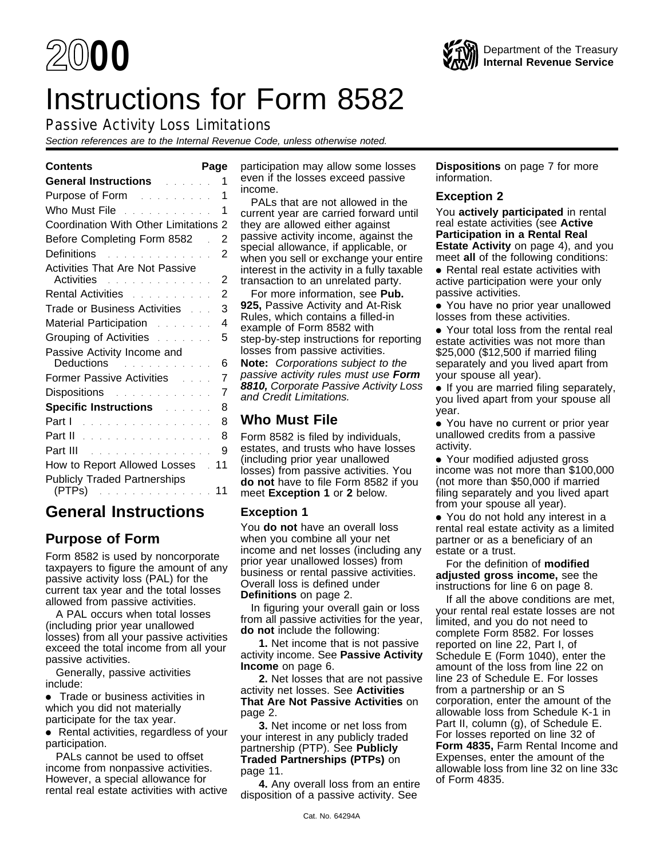# Instructions for Form 8582

# Passive Activity Loss Limitations

Section references are to the Internal Revenue Code, unless otherwise noted.

| <b>General Instructions Contract Control</b>                                                                   | 1              |
|----------------------------------------------------------------------------------------------------------------|----------------|
| Purpose of Form <b>Purpose of Form Purpose</b>                                                                 | 1              |
| Who Must File <b>Contract Contract Property</b>                                                                | 1              |
| <b>Coordination With Other Limitations</b>                                                                     | 2              |
| Before Completing Form 8582                                                                                    | $\overline{2}$ |
| Definitions <b>Definitions</b>                                                                                 | 2              |
| <b>Activities That Are Not Passive</b><br>Activities and a construction of the                                 | $\overline{2}$ |
| Rental Activities <b>Rental Activities</b>                                                                     | 2              |
| Trade or Business Activities Fig.                                                                              | 3              |
| Material Participation <b>Material</b>                                                                         | 4              |
| Grouping of Activities <b>Communist Communist Communist Communist</b>                                          | 5              |
| Passive Activity Income and<br>Deductions<br>والمتحالف والمتحالة والمتحالة                                     | 6              |
| <b>Former Passive Activities</b><br>and and                                                                    | 7              |
| Dispositions and the settlement of the settlement of the settlement of the settlement of the settlement of the | 7              |
| <b>Specific Instructions Algebra</b>                                                                           | 8              |
| Part I<br>والمتحاول والمتحاولة والمتحاولة والمتحاولة                                                           | 8              |
|                                                                                                                | 8              |
| Part III <b>Markov Alexandria</b> Part III                                                                     | 9              |
| How to Report Allowed Losses                                                                                   | 11             |
| <b>Publicly Traded Partnerships</b><br>(PTPs).<br>$\alpha$ , and a second constraint $\alpha$                  | 11             |

# **General Instructions**

# **Purpose of Form**

Form 8582 is used by noncorporate taxpayers to figure the amount of any passive activity loss (PAL) for the current tax year and the total losses allowed from passive activities.

A PAL occurs when total losses (including prior year unallowed losses) from all your passive activities exceed the total income from all your passive activities.

Generally, passive activities include:

● Trade or business activities in which you did not materially participate for the tax year.

● Rental activities, regardless of your participation.

PALs cannot be used to offset income from nonpassive activities. However, a special allowance for rental real estate activities with active

**Contents Page** participation may allow some losses even if the losses exceed passive income.

> PALs that are not allowed in the current year are carried forward until they are allowed either against passive activity income, against the special allowance, if applicable, or when you sell or exchange your entire interest in the activity in a fully taxable transaction to an unrelated party.

> For more information, see **Pub. 925,** Passive Activity and At-Risk Rules, which contains a filled-in example of Form 8582 with step-by-step instructions for reporting losses from passive activities.

> **Note:** Corporations subject to the passive activity rules must use **Form 8810,** Corporate Passive Activity Loss and Credit Limitations.

# **Who Must File**

Form 8582 is filed by individuals, estates, and trusts who have losses (including prior year unallowed losses) from passive activities. You **do not** have to file Form 8582 if you meet **Exception 1** or **2** below.

# **Exception 1**

You **do not** have an overall loss when you combine all your net income and net losses (including any prior year unallowed losses) from business or rental passive activities. Overall loss is defined under **Definitions** on page 2.

In figuring your overall gain or loss from all passive activities for the year, **do not** include the following:

**1.** Net income that is not passive activity income. See **Passive Activity Income** on page 6.

**2.** Net losses that are not passive activity net losses. See **Activities That Are Not Passive Activities** on page 2.

**3.** Net income or net loss from your interest in any publicly traded partnership (PTP). See **Publicly Traded Partnerships (PTPs)** on page 11.

**4.** Any overall loss from an entire disposition of a passive activity. See

**Dispositions** on page 7 for more information.

#### **Exception 2**

You **actively participated** in rental real estate activities (see **Active Participation in a Rental Real Estate Activity** on page 4), and you meet **all** of the following conditions:

● Rental real estate activities with active participation were your only passive activities.

● You have no prior year unallowed losses from these activities.

● Your total loss from the rental real estate activities was not more than \$25,000 (\$12,500 if married filing separately and you lived apart from your spouse all year).

● If you are married filing separately, you lived apart from your spouse all year.

● You have no current or prior year unallowed credits from a passive activity.

● Your modified adjusted gross income was not more than \$100,000 (not more than \$50,000 if married filing separately and you lived apart from your spouse all year).

● You do not hold any interest in a rental real estate activity as a limited partner or as a beneficiary of an estate or a trust.

For the definition of **modified adjusted gross income,** see the instructions for line 6 on page 8.

If all the above conditions are met, your rental real estate losses are not limited, and you do not need to complete Form 8582. For losses reported on line 22, Part I, of Schedule E (Form 1040), enter the amount of the loss from line 22 on line 23 of Schedule E. For losses from a partnership or an S corporation, enter the amount of the allowable loss from Schedule K-1 in Part II, column (g), of Schedule E. For losses reported on line 32 of **Form 4835,** Farm Rental Income and Expenses, enter the amount of the allowable loss from line 32 on line 33c of Form 4835.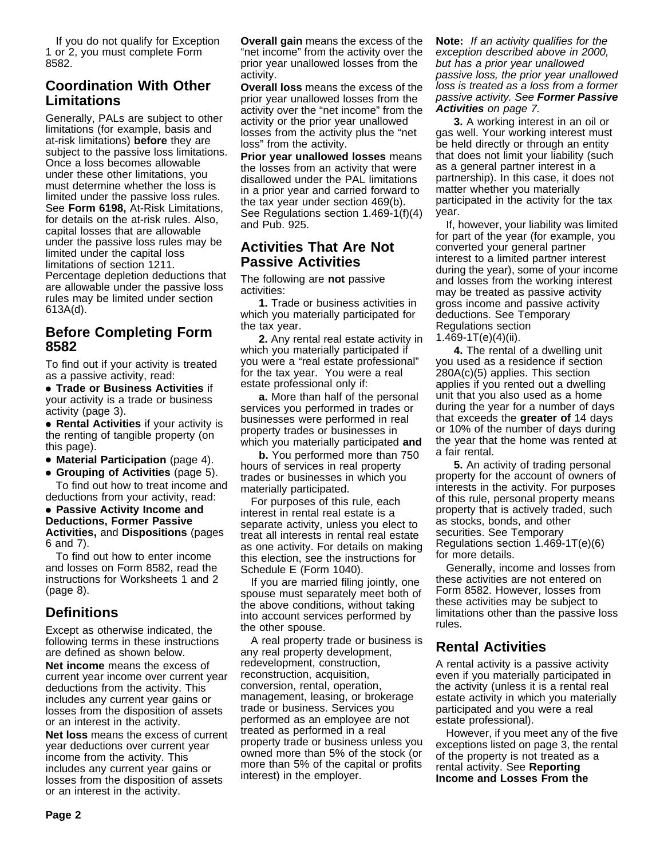If you do not qualify for Exception 1 or 2, you must complete Form 8582.

# **Coordination With Other Limitations**

Generally, PALs are subject to other limitations (for example, basis and at-risk limitations) **before** they are subject to the passive loss limitations. Once a loss becomes allowable under these other limitations, you must determine whether the loss is limited under the passive loss rules. See **Form 6198,** At-Risk Limitations, for details on the at-risk rules. Also, capital losses that are allowable under the passive loss rules may be limited under the capital loss limitations of section 1211. Percentage depletion deductions that are allowable under the passive loss rules may be limited under section 613A(d).

# **Before Completing Form 8582**

To find out if your activity is treated as a passive activity, read:

● **Trade or Business Activities** if your activity is a trade or business activity (page 3).

● **Rental Activities** if your activity is the renting of tangible property (on this page).

● **Material Participation** (page 4).

● **Grouping of Activities** (page 5).

To find out how to treat income and deductions from your activity, read:

#### ● **Passive Activity Income and Deductions, Former Passive Activities,** and **Dispositions** (pages 6 and 7).

To find out how to enter income and losses on Form 8582, read the instructions for Worksheets 1 and 2 (page 8).

# **Definitions**

Except as otherwise indicated, the following terms in these instructions are defined as shown below.

**Net income** means the excess of current year income over current year deductions from the activity. This includes any current year gains or losses from the disposition of assets or an interest in the activity.

**Net loss** means the excess of current year deductions over current year income from the activity. This includes any current year gains or losses from the disposition of assets or an interest in the activity.

**Overall gain** means the excess of the "net income" from the activity over the prior year unallowed losses from the activity.

**Overall loss** means the excess of the prior year unallowed losses from the activity over the "net income" from the activity or the prior year unallowed losses from the activity plus the "net loss" from the activity.

**Prior year unallowed losses** means the losses from an activity that were disallowed under the PAL limitations in a prior year and carried forward to the tax year under section 469(b). See Regulations section 1.469-1(f)(4) and Pub. 925.

### **Activities That Are Not Passive Activities**

The following are **not** passive activities:

**1.** Trade or business activities in which you materially participated for the tax year.

**2.** Any rental real estate activity in which you materially participated if you were a "real estate professional" for the tax year. You were a real estate professional only if:

**a.** More than half of the personal services you performed in trades or businesses were performed in real property trades or businesses in which you materially participated **and**

**b.** You performed more than 750 hours of services in real property trades or businesses in which you materially participated.

For purposes of this rule, each interest in rental real estate is a separate activity, unless you elect to treat all interests in rental real estate as one activity. For details on making this election, see the instructions for Schedule E (Form 1040).

If you are married filing jointly, one spouse must separately meet both of the above conditions, without taking into account services performed by the other spouse.

A real property trade or business is any real property development, redevelopment, construction, reconstruction, acquisition, conversion, rental, operation, management, leasing, or brokerage trade or business. Services you performed as an employee are not treated as performed in a real property trade or business unless you owned more than 5% of the stock (or more than 5% of the capital or profits interest) in the employer.

**Note:** If an activity qualifies for the exception described above in 2000, but has a prior year unallowed passive loss, the prior year unallowed loss is treated as a loss from a former passive activity. See **Former Passive Activities** on page 7.

**3.** A working interest in an oil or gas well. Your working interest must be held directly or through an entity that does not limit your liability (such as a general partner interest in a partnership). In this case, it does not matter whether you materially participated in the activity for the tax year.

If, however, your liability was limited for part of the year (for example, you converted your general partner interest to a limited partner interest during the year), some of your income and losses from the working interest may be treated as passive activity gross income and passive activity deductions. See Temporary Regulations section 1.469-1T(e)(4)(ii).

**4.** The rental of a dwelling unit you used as a residence if section 280A(c)(5) applies. This section applies if you rented out a dwelling unit that you also used as a home during the year for a number of days that exceeds the **greater of** 14 days or 10% of the number of days during the year that the home was rented at a fair rental.

**5.** An activity of trading personal property for the account of owners of interests in the activity. For purposes of this rule, personal property means property that is actively traded, such as stocks, bonds, and other securities. See Temporary Regulations section 1.469-1T(e)(6) for more details.

Generally, income and losses from these activities are not entered on Form 8582. However, losses from these activities may be subject to limitations other than the passive loss rules.

# **Rental Activities**

A rental activity is a passive activity even if you materially participated in the activity (unless it is a rental real estate activity in which you materially participated and you were a real estate professional).

However, if you meet any of the five exceptions listed on page 3, the rental of the property is not treated as a rental activity. See **Reporting Income and Losses From the**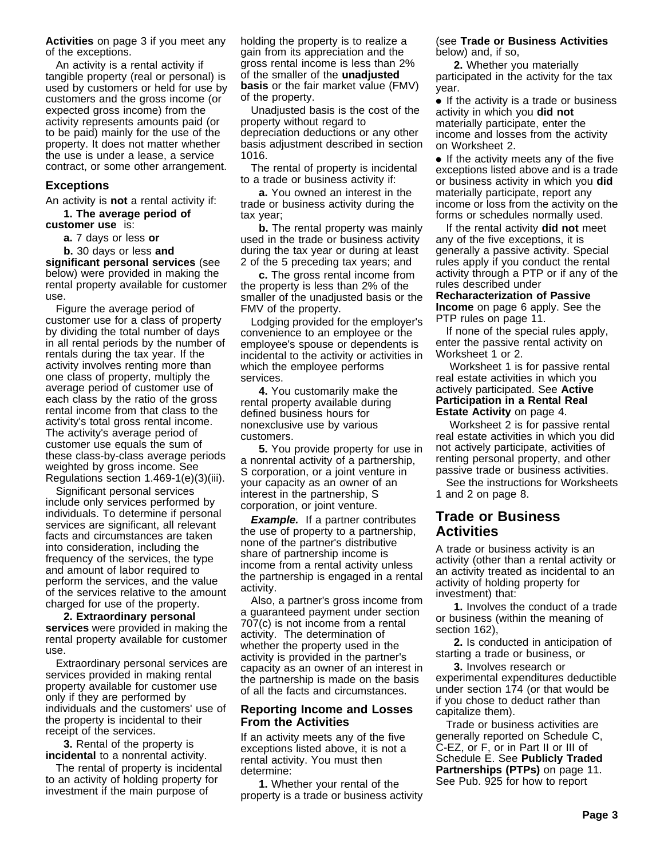**Activities** on page 3 if you meet any of the exceptions.

An activity is a rental activity if tangible property (real or personal) is used by customers or held for use by customers and the gross income (or expected gross income) from the activity represents amounts paid (or to be paid) mainly for the use of the property. It does not matter whether the use is under a lease, a service contract, or some other arrangement.

#### **Exceptions**

An activity is **not** a rental activity if:

**1. The average period of customer use** is:

- **a.** 7 days or less **or**
- **b.** 30 days or less **and**

**significant personal services** (see below) were provided in making the rental property available for customer use.

Figure the average period of customer use for a class of property by dividing the total number of days in all rental periods by the number of rentals during the tax year. If the activity involves renting more than one class of property, multiply the average period of customer use of each class by the ratio of the gross rental income from that class to the activity's total gross rental income. The activity's average period of customer use equals the sum of these class-by-class average periods weighted by gross income. See Regulations section 1.469-1(e)(3)(iii).

Significant personal services include only services performed by individuals. To determine if personal services are significant, all relevant facts and circumstances are taken into consideration, including the frequency of the services, the type and amount of labor required to perform the services, and the value of the services relative to the amount charged for use of the property.

**2. Extraordinary personal services** were provided in making the rental property available for customer use.

Extraordinary personal services are services provided in making rental property available for customer use only if they are performed by individuals and the customers' use of the property is incidental to their receipt of the services.

**3.** Rental of the property is **incidental** to a nonrental activity.

The rental of property is incidental to an activity of holding property for investment if the main purpose of

holding the property is to realize a gain from its appreciation and the gross rental income is less than 2% of the smaller of the **unadjusted basis** or the fair market value (FMV) of the property.

Unadjusted basis is the cost of the property without regard to depreciation deductions or any other basis adjustment described in section 1016.

The rental of property is incidental to a trade or business activity if:

**a.** You owned an interest in the trade or business activity during the tax year;

**b.** The rental property was mainly used in the trade or business activity during the tax year or during at least 2 of the 5 preceding tax years; and

**c.** The gross rental income from the property is less than 2% of the smaller of the unadjusted basis or the FMV of the property.

Lodging provided for the employer's convenience to an employee or the employee's spouse or dependents is incidental to the activity or activities in which the employee performs services.

**4.** You customarily make the rental property available during defined business hours for nonexclusive use by various customers.

**5.** You provide property for use in a nonrental activity of a partnership, S corporation, or a joint venture in your capacity as an owner of an interest in the partnership, S corporation, or joint venture.

**Example.** If a partner contributes the use of property to a partnership, none of the partner's distributive share of partnership income is income from a rental activity unless the partnership is engaged in a rental activity.

Also, a partner's gross income from a guaranteed payment under section 707(c) is not income from a rental activity. The determination of whether the property used in the activity is provided in the partner's capacity as an owner of an interest in the partnership is made on the basis of all the facts and circumstances.

#### **Reporting Income and Losses From the Activities**

If an activity meets any of the five exceptions listed above, it is not a rental activity. You must then determine:

**1.** Whether your rental of the property is a trade or business activity

#### (see **Trade or Business Activities** below) and, if so,

**2.** Whether you materially participated in the activity for the tax year.

● If the activity is a trade or business activity in which you **did not** materially participate, enter the income and losses from the activity on Worksheet 2.

● If the activity meets any of the five exceptions listed above and is a trade or business activity in which you **did** materially participate, report any income or loss from the activity on the forms or schedules normally used.

If the rental activity **did not** meet any of the five exceptions, it is generally a passive activity. Special rules apply if you conduct the rental activity through a PTP or if any of the rules described under

**Recharacterization of Passive Income** on page 6 apply. See the PTP rules on page 11.

If none of the special rules apply, enter the passive rental activity on Worksheet 1 or 2.

 Worksheet 1 is for passive rental real estate activities in which you actively participated. See **Active Participation in a Rental Real Estate Activity** on page 4.

 Worksheet 2 is for passive rental real estate activities in which you did not actively participate, activities of renting personal property, and other passive trade or business activities.

See the instructions for Worksheets 1 and 2 on page 8.

#### **Trade or Business Activities**

A trade or business activity is an activity (other than a rental activity or an activity treated as incidental to an activity of holding property for investment) that:

**1.** Involves the conduct of a trade or business (within the meaning of section 162),

**2.** Is conducted in anticipation of starting a trade or business, or

**3.** Involves research or experimental expenditures deductible under section 174 (or that would be if you chose to deduct rather than capitalize them).

Trade or business activities are generally reported on Schedule C, C-EZ, or F, or in Part II or III of Schedule E. See **Publicly Traded Partnerships (PTPs)** on page 11. See Pub. 925 for how to report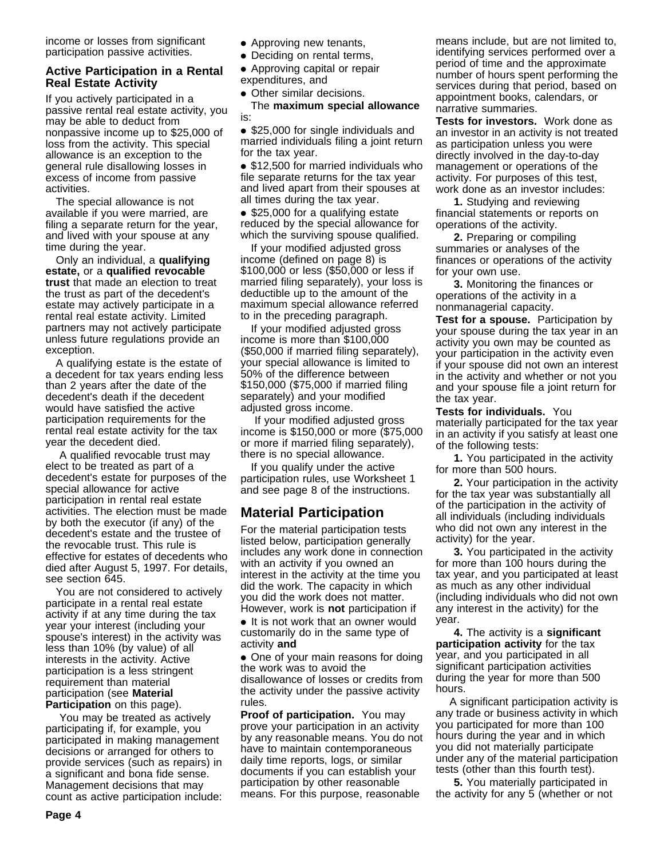income or losses from significant participation passive activities.

#### **Active Participation in a Rental Real Estate Activity**

If you actively participated in a passive rental real estate activity, you may be able to deduct from nonpassive income up to \$25,000 of loss from the activity. This special allowance is an exception to the general rule disallowing losses in excess of income from passive activities.

The special allowance is not available if you were married, are filing a separate return for the year, and lived with your spouse at any time during the year.

Only an individual, a **qualifying estate,** or a **qualified revocable trust** that made an election to treat the trust as part of the decedent's estate may actively participate in a rental real estate activity. Limited partners may not actively participate unless future regulations provide an exception.

A qualifying estate is the estate of a decedent for tax years ending less than 2 years after the date of the decedent's death if the decedent would have satisfied the active participation requirements for the rental real estate activity for the tax year the decedent died.

 A qualified revocable trust may elect to be treated as part of a decedent's estate for purposes of the special allowance for active participation in rental real estate activities. The election must be made by both the executor (if any) of the decedent's estate and the trustee of the revocable trust. This rule is effective for estates of decedents who died after August 5, 1997. For details, see section 645.

You are not considered to actively participate in a rental real estate activity if at any time during the tax year your interest (including your spouse's interest) in the activity was less than 10% (by value) of all interests in the activity. Active participation is a less stringent requirement than material participation (see **Material Participation** on this page).

 You may be treated as actively participating if, for example, you participated in making management decisions or arranged for others to provide services (such as repairs) in a significant and bona fide sense. Management decisions that may count as active participation include:

- Approving new tenants,
- Deciding on rental terms,

● Approving capital or repair expenditures, and

• Other similar decisions.

The **maximum special allowance** is:

● \$25,000 for single individuals and married individuals filing a joint return for the tax year.

● \$12,500 for married individuals who file separate returns for the tax year and lived apart from their spouses at all times during the tax year.

• \$25,000 for a qualifying estate reduced by the special allowance for which the surviving spouse qualified.

If your modified adjusted gross income (defined on page 8) is \$100,000 or less (\$50,000 or less if married filing separately), your loss is deductible up to the amount of the maximum special allowance referred to in the preceding paragraph.

If your modified adjusted gross income is more than \$100,000 (\$50,000 if married filing separately), your special allowance is limited to 50% of the difference between \$150,000 (\$75,000 if married filing separately) and your modified adjusted gross income.

 If your modified adjusted gross income is \$150,000 or more (\$75,000 or more if married filing separately), there is no special allowance.

If you qualify under the active participation rules, use Worksheet 1 and see page 8 of the instructions.

# **Material Participation**

For the material participation tests listed below, participation generally includes any work done in connection with an activity if you owned an interest in the activity at the time you did the work. The capacity in which you did the work does not matter. However, work is **not** participation if

● It is not work that an owner would customarily do in the same type of activity **and**

• One of your main reasons for doing the work was to avoid the disallowance of losses or credits from the activity under the passive activity rules.

**Proof of participation.** You may prove your participation in an activity by any reasonable means. You do not have to maintain contemporaneous daily time reports, logs, or similar documents if you can establish your participation by other reasonable means. For this purpose, reasonable

means include, but are not limited to, identifying services performed over a period of time and the approximate number of hours spent performing the services during that period, based on appointment books, calendars, or narrative summaries.

**Tests for investors.** Work done as an investor in an activity is not treated as participation unless you were directly involved in the day-to-day management or operations of the activity. For purposes of this test, work done as an investor includes:

**1.** Studying and reviewing financial statements or reports on operations of the activity.

**2.** Preparing or compiling summaries or analyses of the finances or operations of the activity for your own use.

**3.** Monitoring the finances or operations of the activity in a nonmanagerial capacity.

**Test for a spouse.** Participation by your spouse during the tax year in an activity you own may be counted as your participation in the activity even if your spouse did not own an interest in the activity and whether or not you and your spouse file a joint return for the tax year.

**Tests for individuals.** You materially participated for the tax year in an activity if you satisfy at least one of the following tests:

**1.** You participated in the activity for more than 500 hours.

**2.** Your participation in the activity for the tax year was substantially all of the participation in the activity of all individuals (including individuals who did not own any interest in the activity) for the year.

**3.** You participated in the activity for more than 100 hours during the tax year, and you participated at least as much as any other individual (including individuals who did not own any interest in the activity) for the year.

**4.** The activity is a **significant participation activity** for the tax year, and you participated in all significant participation activities during the year for more than 500 hours.

 A significant participation activity is any trade or business activity in which you participated for more than 100 hours during the year and in which you did not materially participate under any of the material participation tests (other than this fourth test).

**5.** You materially participated in the activity for any 5 (whether or not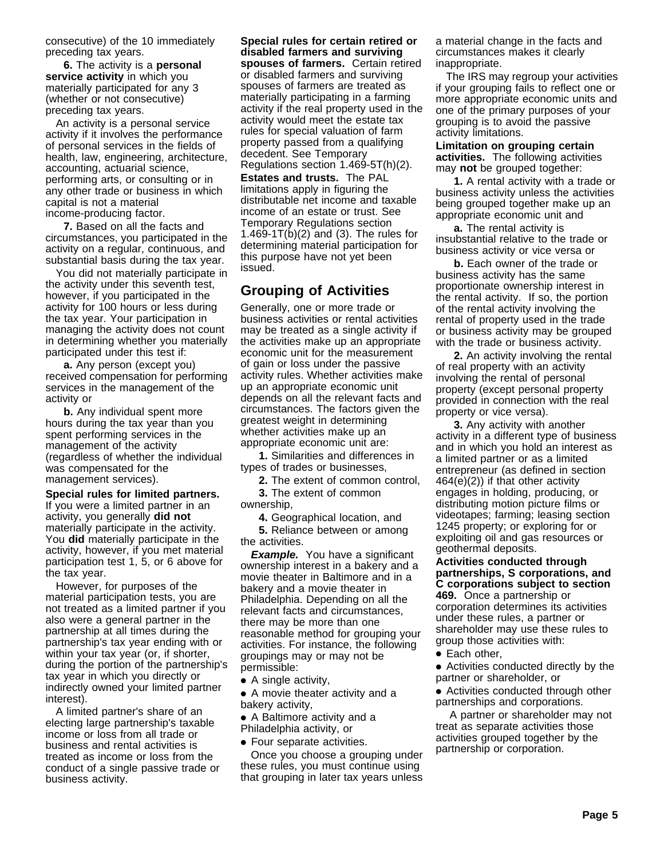consecutive) of the 10 immediately preceding tax years.

**6.** The activity is a **personal service activity** in which you materially participated for any 3 (whether or not consecutive) preceding tax years.

An activity is a personal service activity if it involves the performance of personal services in the fields of health, law, engineering, architecture, accounting, actuarial science, performing arts, or consulting or in any other trade or business in which capital is not a material income-producing factor.

**7.** Based on all the facts and circumstances, you participated in the activity on a regular, continuous, and substantial basis during the tax year.

You did not materially participate in the activity under this seventh test, however, if you participated in the activity for 100 hours or less during the tax year. Your participation in managing the activity does not count in determining whether you materially participated under this test if:

**a.** Any person (except you) received compensation for performing services in the management of the activity or

**b.** Any individual spent more hours during the tax year than you spent performing services in the management of the activity (regardless of whether the individual was compensated for the management services).

**Special rules for limited partners.** If you were a limited partner in an activity, you generally **did not** materially participate in the activity. You **did** materially participate in the activity, however, if you met material participation test 1, 5, or 6 above for the tax year.

However, for purposes of the material participation tests, you are not treated as a limited partner if you also were a general partner in the partnership at all times during the partnership's tax year ending with or within your tax year (or, if shorter, during the portion of the partnership's tax year in which you directly or indirectly owned your limited partner interest).

A limited partner's share of an electing large partnership's taxable income or loss from all trade or business and rental activities is treated as income or loss from the conduct of a single passive trade or business activity.

**Special rules for certain retired or disabled farmers and surviving spouses of farmers.** Certain retired or disabled farmers and surviving spouses of farmers are treated as materially participating in a farming activity if the real property used in the activity would meet the estate tax rules for special valuation of farm property passed from a qualifying decedent. See Temporary Regulations section 1.469-5T(h)(2).

**Estates and trusts.** The PAL limitations apply in figuring the distributable net income and taxable income of an estate or trust. See Temporary Regulations section 1.469-1T(b)(2) and (3). The rules for determining material participation for this purpose have not yet been issued.

# **Grouping of Activities**

Generally, one or more trade or business activities or rental activities may be treated as a single activity if the activities make up an appropriate economic unit for the measurement of gain or loss under the passive activity rules. Whether activities make up an appropriate economic unit depends on all the relevant facts and circumstances. The factors given the greatest weight in determining whether activities make up an appropriate economic unit are:

**1.** Similarities and differences in types of trades or businesses,

**2.** The extent of common control, **3.** The extent of common ownership,

**4.** Geographical location, and

**5.** Reliance between or among the activities.

**Example.** You have a significant ownership interest in a bakery and a movie theater in Baltimore and in a bakery and a movie theater in Philadelphia. Depending on all the relevant facts and circumstances, there may be more than one reasonable method for grouping your activities. For instance, the following groupings may or may not be permissible:

● A single activity,

● A movie theater activity and a bakery activity,

● A Baltimore activity and a Philadelphia activity, or

● Four separate activities.

Once you choose a grouping under these rules, you must continue using that grouping in later tax years unless a material change in the facts and circumstances makes it clearly inappropriate.

The IRS may regroup your activities if your grouping fails to reflect one or more appropriate economic units and one of the primary purposes of your grouping is to avoid the passive activity limitations.

**Limitation on grouping certain activities.** The following activities may **not** be grouped together:

**1.** A rental activity with a trade or business activity unless the activities being grouped together make up an appropriate economic unit and

**a.** The rental activity is insubstantial relative to the trade or business activity or vice versa or

**b.** Each owner of the trade or business activity has the same proportionate ownership interest in the rental activity. If so, the portion of the rental activity involving the rental of property used in the trade or business activity may be grouped with the trade or business activity.

**2.** An activity involving the rental of real property with an activity involving the rental of personal property (except personal property provided in connection with the real property or vice versa).

**3.** Any activity with another activity in a different type of business and in which you hold an interest as a limited partner or as a limited entrepreneur (as defined in section 464(e)(2)) if that other activity engages in holding, producing, or distributing motion picture films or videotapes; farming; leasing section 1245 property; or exploring for or exploiting oil and gas resources or geothermal deposits.

**Activities conducted through partnerships, S corporations, and C corporations subject to section 469.** Once a partnership or corporation determines its activities under these rules, a partner or shareholder may use these rules to group those activities with:

● Each other,

● Activities conducted directly by the partner or shareholder, or

● Activities conducted through other partnerships and corporations.

 A partner or shareholder may not treat as separate activities those activities grouped together by the partnership or corporation.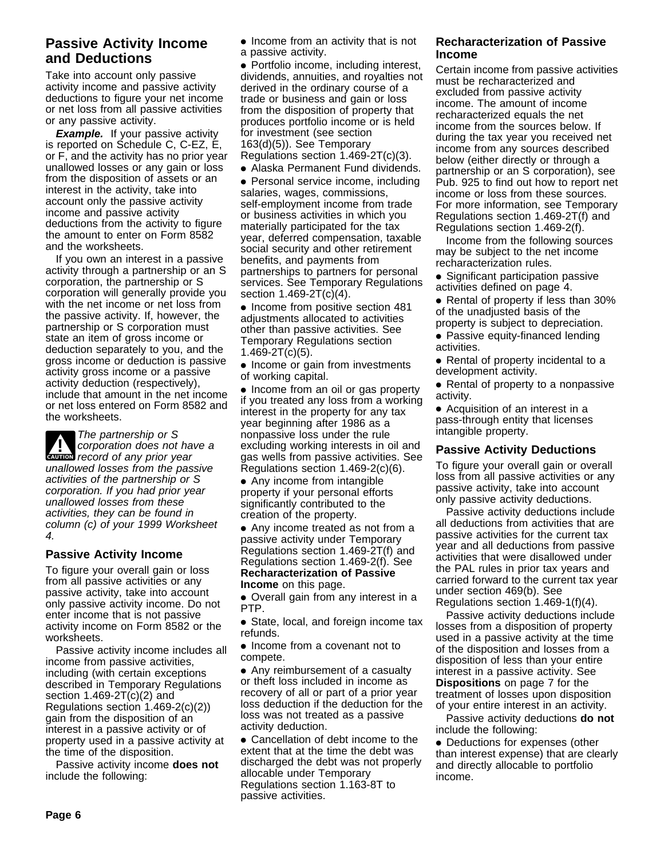# **Passive Activity Income and Deductions**

Take into account only passive activity income and passive activity deductions to figure your net income or net loss from all passive activities or any passive activity.

**Example.** If your passive activity is reported on Schedule C, C-EZ, E, or F, and the activity has no prior year unallowed losses or any gain or loss from the disposition of assets or an interest in the activity, take into account only the passive activity income and passive activity deductions from the activity to figure the amount to enter on Form 8582 and the worksheets.

If you own an interest in a passive activity through a partnership or an S corporation, the partnership or S corporation will generally provide you with the net income or net loss from the passive activity. If, however, the partnership or S corporation must state an item of gross income or deduction separately to you, and the gross income or deduction is passive activity gross income or a passive activity deduction (respectively), include that amount in the net income or net loss entered on Form 8582 and the worksheets.

**CAUTION** record of any prior year **!** The partnership or S corporation does not have a unallowed losses from the passive activities of the partnership or S corporation. If you had prior year unallowed losses from these activities, they can be found in column (c) of your 1999 Worksheet 4.

#### **Passive Activity Income**

To figure your overall gain or loss from all passive activities or any passive activity, take into account only passive activity income. Do not enter income that is not passive activity income on Form 8582 or the worksheets.

Passive activity income includes all income from passive activities, including (with certain exceptions described in Temporary Regulations section 1.469-2T(c)(2) and Regulations section 1.469-2(c)(2)) gain from the disposition of an interest in a passive activity or of property used in a passive activity at the time of the disposition.

Passive activity income **does not** include the following:

● Income from an activity that is not a passive activity.

● Portfolio income, including interest, dividends, annuities, and royalties not derived in the ordinary course of a trade or business and gain or loss from the disposition of property that produces portfolio income or is held for investment (see section 163(d)(5)). See Temporary Regulations section 1.469-2T(c)(3).

• Alaska Permanent Fund dividends.

• Personal service income, including salaries, wages, commissions, self-employment income from trade or business activities in which you materially participated for the tax year, deferred compensation, taxable social security and other retirement benefits, and payments from partnerships to partners for personal services. See Temporary Regulations section 1.469-2T(c)(4).

• Income from positive section 481 adjustments allocated to activities other than passive activities. See Temporary Regulations section 1.469-2T(c)(5).

• Income or gain from investments of working capital.

• Income from an oil or gas property if you treated any loss from a working interest in the property for any tax year beginning after 1986 as a nonpassive loss under the rule excluding working interests in oil and gas wells from passive activities. See Regulations section 1.469-2(c)(6).

● Any income from intangible property if your personal efforts significantly contributed to the creation of the property.

• Any income treated as not from a passive activity under Temporary Regulations section 1.469-2T(f) and Regulations section 1.469-2(f). See **Recharacterization of Passive Income** on this page.

● Overall gain from any interest in a PTP.

● State, local, and foreign income tax refunds.

● Income from a covenant not to compete.

• Any reimbursement of a casualty or theft loss included in income as recovery of all or part of a prior year loss deduction if the deduction for the loss was not treated as a passive activity deduction.

● Cancellation of debt income to the extent that at the time the debt was discharged the debt was not properly allocable under Temporary Regulations section 1.163-8T to passive activities.

#### **Recharacterization of Passive Income**

Certain income from passive activities must be recharacterized and excluded from passive activity income. The amount of income recharacterized equals the net income from the sources below. If during the tax year you received net income from any sources described below (either directly or through a partnership or an S corporation), see Pub. 925 to find out how to report net income or loss from these sources. For more information, see Temporary Regulations section 1.469-2T(f) and Regulations section 1.469-2(f).

Income from the following sources may be subject to the net income recharacterization rules.

• Significant participation passive activities defined on page 4.

● Rental of property if less than 30% of the unadjusted basis of the

property is subject to depreciation.

• Passive equity-financed lending activities.

● Rental of property incidental to a development activity.

● Rental of property to a nonpassive activity.

● Acquisition of an interest in a pass-through entity that licenses intangible property.

#### **Passive Activity Deductions**

To figure your overall gain or overall loss from all passive activities or any passive activity, take into account only passive activity deductions.

Passive activity deductions include all deductions from activities that are passive activities for the current tax year and all deductions from passive activities that were disallowed under the PAL rules in prior tax years and carried forward to the current tax year under section 469(b). See Regulations section 1.469-1(f)(4).

Passive activity deductions include losses from a disposition of property used in a passive activity at the time of the disposition and losses from a disposition of less than your entire interest in a passive activity. See **Dispositions** on page 7 for the treatment of losses upon disposition of your entire interest in an activity.

Passive activity deductions **do not** include the following:

• Deductions for expenses (other than interest expense) that are clearly and directly allocable to portfolio income.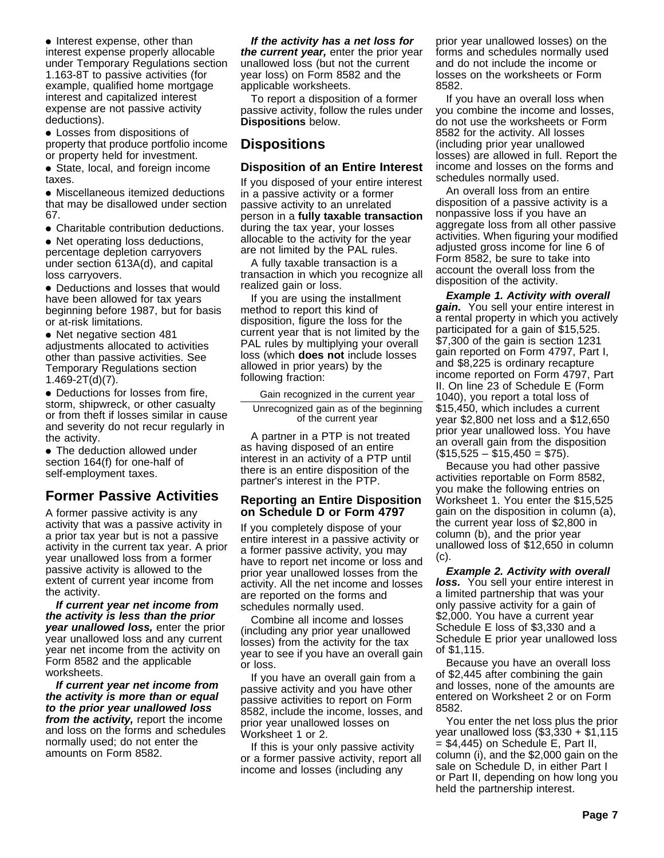• Interest expense, other than interest expense properly allocable under Temporary Regulations section 1.163-8T to passive activities (for example, qualified home mortgage interest and capitalized interest expense are not passive activity deductions).

● Losses from dispositions of property that produce portfolio income or property held for investment.

• State, local, and foreign income taxes.

• Miscellaneous itemized deductions that may be disallowed under section 67.

● Charitable contribution deductions.

• Net operating loss deductions, percentage depletion carryovers under section 613A(d), and capital loss carryovers.

• Deductions and losses that would have been allowed for tax years beginning before 1987, but for basis or at-risk limitations.

● Net negative section 481 adjustments allocated to activities other than passive activities. See Temporary Regulations section 1.469-2T(d)(7).

● Deductions for losses from fire, storm, shipwreck, or other casualty or from theft if losses similar in cause and severity do not recur regularly in the activity.

• The deduction allowed under section 164(f) for one-half of self-employment taxes.

# **Former Passive Activities**

A former passive activity is any activity that was a passive activity in a prior tax year but is not a passive activity in the current tax year. A prior year unallowed loss from a former passive activity is allowed to the extent of current year income from the activity.

**If current year net income from the activity is less than the prior year unallowed loss,** enter the prior year unallowed loss and any current year net income from the activity on Form 8582 and the applicable worksheets.

**If current year net income from the activity is more than or equal to the prior year unallowed loss from the activity,** report the income and loss on the forms and schedules normally used; do not enter the amounts on Form 8582.

**If the activity has a net loss for the current year,** enter the prior year unallowed loss (but not the current year loss) on Form 8582 and the applicable worksheets.

To report a disposition of a former passive activity, follow the rules under **Dispositions** below.

# **Dispositions**

#### **Disposition of an Entire Interest**

If you disposed of your entire interest in a passive activity or a former passive activity to an unrelated person in a **fully taxable transaction** during the tax year, your losses allocable to the activity for the year are not limited by the PAL rules.

A fully taxable transaction is a transaction in which you recognize all realized gain or loss.

If you are using the installment method to report this kind of disposition, figure the loss for the current year that is not limited by the PAL rules by multiplying your overall loss (which **does not** include losses allowed in prior years) by the following fraction:

Gain recognized in the current year

Unrecognized gain as of the beginning of the current year

A partner in a PTP is not treated as having disposed of an entire interest in an activity of a PTP until there is an entire disposition of the partner's interest in the PTP.

#### **Reporting an Entire Disposition on Schedule D or Form 4797**

If you completely dispose of your entire interest in a passive activity or a former passive activity, you may have to report net income or loss and prior year unallowed losses from the activity. All the net income and losses are reported on the forms and schedules normally used.

Combine all income and losses (including any prior year unallowed losses) from the activity for the tax year to see if you have an overall gain or loss.

If you have an overall gain from a passive activity and you have other passive activities to report on Form 8582, include the income, losses, and prior year unallowed losses on Worksheet 1 or 2.

If this is your only passive activity or a former passive activity, report all income and losses (including any

prior year unallowed losses) on the forms and schedules normally used and do not include the income or losses on the worksheets or Form 8582.

If you have an overall loss when you combine the income and losses, do not use the worksheets or Form 8582 for the activity. All losses (including prior year unallowed losses) are allowed in full. Report the income and losses on the forms and schedules normally used.

An overall loss from an entire disposition of a passive activity is a nonpassive loss if you have an aggregate loss from all other passive activities. When figuring your modified adjusted gross income for line 6 of Form 8582, be sure to take into account the overall loss from the disposition of the activity.

**Example 1. Activity with overall gain.** You sell your entire interest in a rental property in which you actively participated for a gain of \$15,525. \$7,300 of the gain is section 1231 gain reported on Form 4797, Part I, and \$8,225 is ordinary recapture income reported on Form 4797, Part II. On line 23 of Schedule E (Form 1040), you report a total loss of \$15,450, which includes a current year \$2,800 net loss and a \$12,650 prior year unallowed loss. You have an overall gain from the disposition  $($15,525 - $15,450 = $75).$ 

Because you had other passive activities reportable on Form 8582, you make the following entries on Worksheet 1. You enter the \$15,525 gain on the disposition in column (a), the current year loss of \$2,800 in column (b), and the prior year unallowed loss of \$12,650 in column (c).

**Example 2. Activity with overall loss.** You sell your entire interest in a limited partnership that was your only passive activity for a gain of \$2,000. You have a current year Schedule E loss of \$3,330 and a Schedule E prior year unallowed loss of \$1,115.

Because you have an overall loss of \$2,445 after combining the gain and losses, none of the amounts are entered on Worksheet 2 or on Form 8582.

You enter the net loss plus the prior year unallowed loss (\$3,330 + \$1,115  $= $4,445$ ) on Schedule E, Part II, column (i), and the \$2,000 gain on the sale on Schedule D, in either Part I or Part II, depending on how long you held the partnership interest.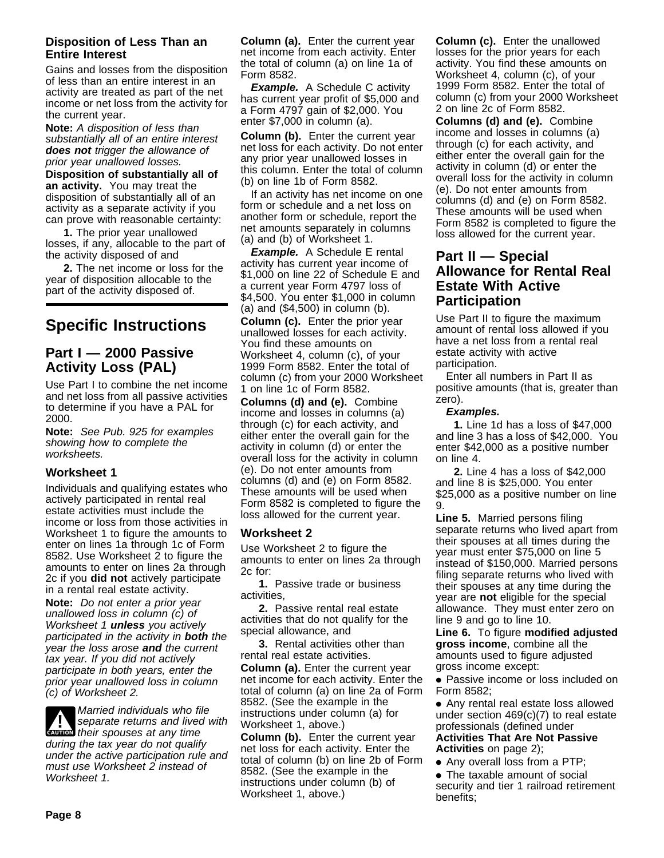#### **Disposition of Less Than an Entire Interest**

Gains and losses from the disposition of less than an entire interest in an activity are treated as part of the net income or net loss from the activity for the current year.

**Note:** A disposition of less than substantially all of an entire interest **does not** trigger the allowance of prior year unallowed losses.

**Disposition of substantially all of an activity.** You may treat the disposition of substantially all of an activity as a separate activity if you can prove with reasonable certainty:

**1.** The prior year unallowed losses, if any, allocable to the part of the activity disposed of and

**2.** The net income or loss for the year of disposition allocable to the part of the activity disposed of.

# **Specific Instructions**

# **Part I — 2000 Passive Activity Loss (PAL)**

Use Part I to combine the net income and net loss from all passive activities to determine if you have a PAL for 2000.

**Note:** See Pub. 925 for examples showing how to complete the worksheets.

#### **Worksheet 1**

Individuals and qualifying estates who actively participated in rental real estate activities must include the income or loss from those activities in Worksheet 1 to figure the amounts to enter on lines 1a through 1c of Form 8582. Use Worksheet 2 to figure the amounts to enter on lines 2a through 2c if you **did not** actively participate in a rental real estate activity.

**Note:** Do not enter a prior year unallowed loss in column (c) of Worksheet 1 **unless** you actively participated in the activity in **both** the year the loss arose **and** the current tax year. If you did not actively participate in both years, enter the prior year unallowed loss in column (c) of Worksheet 2.

**1. Separate returns and liver**<br> **EAUTION** their spouses at any time Married individuals who file separate returns and lived with during the tax year do not qualify under the active participation rule and must use Worksheet 2 instead of Worksheet 1.

**Column (a).** Enter the current year net income from each activity. Enter the total of column (a) on line 1a of Form 8582.

**Example.** A Schedule C activity has current year profit of \$5,000 and a Form 4797 gain of \$2,000. You enter \$7,000 in column (a).

**Column (b).** Enter the current year net loss for each activity. Do not enter any prior year unallowed losses in this column. Enter the total of column (b) on line 1b of Form 8582.

If an activity has net income on one form or schedule and a net loss on another form or schedule, report the net amounts separately in columns (a) and (b) of Worksheet 1.

**Example.** A Schedule E rental activity has current year income of \$1,000 on line 22 of Schedule E and a current year Form 4797 loss of \$4,500. You enter \$1,000 in column (a) and (\$4,500) in column (b).

**Column (c).** Enter the prior year unallowed losses for each activity. You find these amounts on Worksheet 4, column (c), of your 1999 Form 8582. Enter the total of column (c) from your 2000 Worksheet 1 on line 1c of Form 8582.

**Columns (d) and (e).** Combine income and losses in columns (a) through (c) for each activity, and either enter the overall gain for the activity in column (d) or enter the overall loss for the activity in column (e). Do not enter amounts from columns (d) and (e) on Form 8582. These amounts will be used when Form 8582 is completed to figure the loss allowed for the current year.

#### **Worksheet 2**

Use Worksheet 2 to figure the amounts to enter on lines 2a through 2c for:

**1.** Passive trade or business activities,

**2.** Passive rental real estate activities that do not qualify for the special allowance, and

**3.** Rental activities other than rental real estate activities.

**Column (a).** Enter the current year net income for each activity. Enter the total of column (a) on line 2a of Form 8582. (See the example in the instructions under column (a) for Worksheet 1, above.)

**Column (b).** Enter the current year net loss for each activity. Enter the total of column (b) on line 2b of Form 8582. (See the example in the instructions under column (b) of Worksheet 1, above.)

**Column (c).** Enter the unallowed losses for the prior years for each activity. You find these amounts on Worksheet 4, column (c), of your 1999 Form 8582. Enter the total of column (c) from your 2000 Worksheet 2 on line 2c of Form 8582.

**Columns (d) and (e).** Combine income and losses in columns (a) through (c) for each activity, and either enter the overall gain for the activity in column (d) or enter the overall loss for the activity in column (e). Do not enter amounts from columns (d) and (e) on Form 8582. These amounts will be used when Form 8582 is completed to figure the loss allowed for the current year.

# **Part II — Special Allowance for Rental Real Estate With Active Participation**

Use Part II to figure the maximum amount of rental loss allowed if you have a net loss from a rental real estate activity with active participation.

Enter all numbers in Part II as positive amounts (that is, greater than zero).

#### **Examples.**

**1.** Line 1d has a loss of \$47,000 and line 3 has a loss of \$42,000. You enter \$42,000 as a positive number on line 4.

**2.** Line 4 has a loss of \$42,000 and line 8 is \$25,000. You enter \$25,000 as a positive number on line 9.

**Line 5.** Married persons filing separate returns who lived apart from their spouses at all times during the year must enter \$75,000 on line 5 instead of \$150,000. Married persons filing separate returns who lived with their spouses at any time during the year are **not** eligible for the special allowance. They must enter zero on line 9 and go to line 10.

**Line 6.** To figure **modified adjusted gross income**, combine all the amounts used to figure adjusted gross income except:

● Passive income or loss included on Form 8582;

● Any rental real estate loss allowed under section 469(c)(7) to real estate professionals (defined under **Activities That Are Not Passive Activities** on page 2);

• Any overall loss from a PTP;

● The taxable amount of social security and tier 1 railroad retirement benefits;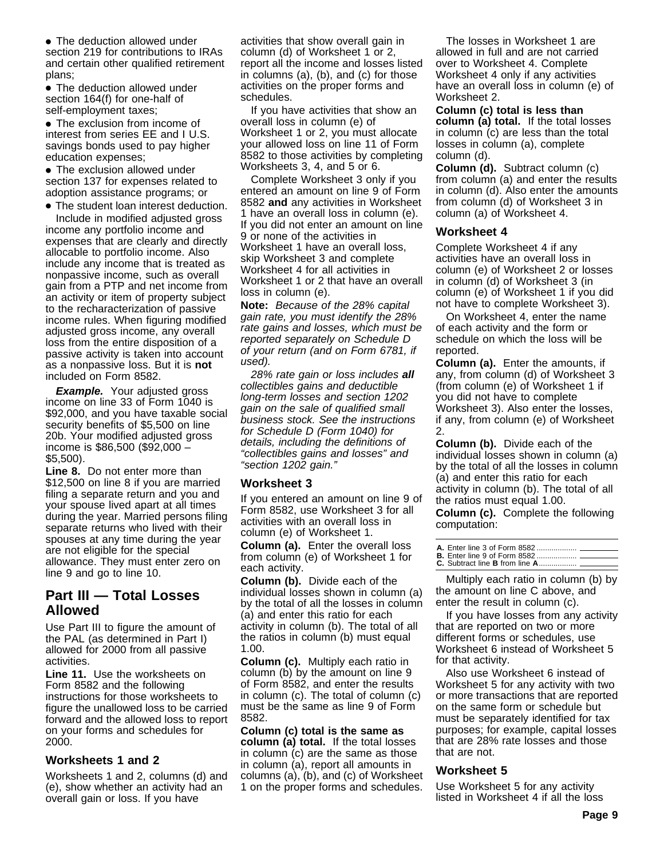• The deduction allowed under section 219 for contributions to IRAs and certain other qualified retirement plans;

• The deduction allowed under section 164(f) for one-half of self-employment taxes;

• The exclusion from income of interest from series EE and I U.S. savings bonds used to pay higher education expenses;

• The exclusion allowed under section 137 for expenses related to adoption assistance programs; or

● The student loan interest deduction.

Include in modified adjusted gross income any portfolio income and expenses that are clearly and directly allocable to portfolio income. Also include any income that is treated as nonpassive income, such as overall gain from a PTP and net income from an activity or item of property subject to the recharacterization of passive income rules. When figuring modified adjusted gross income, any overall loss from the entire disposition of a passive activity is taken into account as a nonpassive loss. But it is **not** included on Form 8582.

**Example.** Your adjusted gross income on line 33 of Form 1040 is \$92,000, and you have taxable social security benefits of \$5,500 on line 20b. Your modified adjusted gross income is \$86,500 (\$92,000 – \$5,500).

**Line 8.** Do not enter more than \$12,500 on line 8 if you are married filing a separate return and you and your spouse lived apart at all times during the year. Married persons filing separate returns who lived with their spouses at any time during the year are not eligible for the special allowance. They must enter zero on line 9 and go to line 10.

### **Part III — Total Losses Allowed**

Use Part III to figure the amount of the PAL (as determined in Part I) allowed for 2000 from all passive activities.

**Line 11.** Use the worksheets on Form 8582 and the following instructions for those worksheets to figure the unallowed loss to be carried forward and the allowed loss to report on your forms and schedules for 2000.

#### **Worksheets 1 and 2**

Worksheets 1 and 2, columns (d) and (e), show whether an activity had an overall gain or loss. If you have

activities that show overall gain in column (d) of Worksheet 1 or 2, report all the income and losses listed in columns (a), (b), and (c) for those activities on the proper forms and schedules.

If you have activities that show an overall loss in column (e) of Worksheet 1 or 2, you must allocate your allowed loss on line 11 of Form 8582 to those activities by completing Worksheets 3, 4, and 5 or 6.

Complete Worksheet 3 only if you entered an amount on line 9 of Form 8582 **and** any activities in Worksheet 1 have an overall loss in column (e). If you did not enter an amount on line 9 or none of the activities in Worksheet 1 have an overall loss, skip Worksheet 3 and complete Worksheet 4 for all activities in Worksheet 1 or 2 that have an overall loss in column (e).

**Note:** Because of the 28% capital gain rate, you must identify the 28% rate gains and losses, which must be reported separately on Schedule D of your return (and on Form 6781, if used).

28% rate gain or loss includes **all** collectibles gains and deductible long-term losses and section 1202 gain on the sale of qualified small business stock. See the instructions for Schedule D (Form 1040) for details, including the definitions of "collectibles gains and losses" and "section 1202 gain."

#### **Worksheet 3**

If you entered an amount on line 9 of Form 8582, use Worksheet 3 for all activities with an overall loss in column (e) of Worksheet 1.

**Column (a).** Enter the overall loss from column (e) of Worksheet 1 for each activity.

**Column (b).** Divide each of the individual losses shown in column (a) by the total of all the losses in column (a) and enter this ratio for each activity in column (b). The total of all the ratios in column (b) must equal 1.00.

**Column (c).** Multiply each ratio in column (b) by the amount on line 9 of Form 8582, and enter the results in column (c). The total of column (c) must be the same as line 9 of Form 8582.

**Column (c) total is the same as column (a) total.** If the total losses in column (c) are the same as those in column (a), report all amounts in columns (a), (b), and (c) of Worksheet 1 on the proper forms and schedules.

The losses in Worksheet 1 are allowed in full and are not carried over to Worksheet 4. Complete Worksheet 4 only if any activities have an overall loss in column (e) of Worksheet 2.

**Column (c) total is less than column (a) total.** If the total losses in column (c) are less than the total losses in column (a), complete column (d).

**Column (d).** Subtract column (c) from column (a) and enter the results in column (d). Also enter the amounts from column (d) of Worksheet 3 in column (a) of Worksheet 4.

#### **Worksheet 4**

Complete Worksheet 4 if any activities have an overall loss in column (e) of Worksheet 2 or losses in column (d) of Worksheet 3 (in column (e) of Worksheet 1 if you did not have to complete Worksheet 3).

On Worksheet 4, enter the name of each activity and the form or schedule on which the loss will be reported.

**Column (a).** Enter the amounts, if any, from column (d) of Worksheet 3 (from column (e) of Worksheet 1 if you did not have to complete Worksheet 3). Also enter the losses, if any, from column (e) of Worksheet 2.

**Column (b).** Divide each of the individual losses shown in column (a) by the total of all the losses in column (a) and enter this ratio for each activity in column (b). The total of all the ratios must equal 1.00.

**Column (c).** Complete the following computation:

Multiply each ratio in column (b) by the amount on line C above, and enter the result in column (c).

If you have losses from any activity that are reported on two or more different forms or schedules, use Worksheet 6 instead of Worksheet 5 for that activity.

Also use Worksheet 6 instead of Worksheet 5 for any activity with two or more transactions that are reported on the same form or schedule but must be separately identified for tax purposes; for example, capital losses that are 28% rate losses and those that are not.

#### **Worksheet 5**

Use Worksheet 5 for any activity listed in Worksheet 4 if all the loss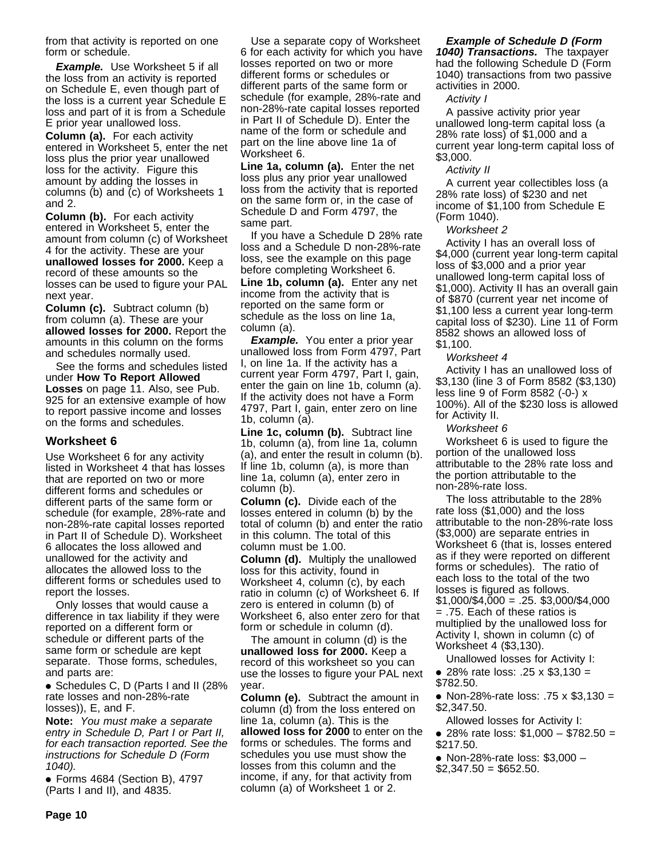from that activity is reported on one form or schedule.

**Example.** Use Worksheet 5 if all the loss from an activity is reported on Schedule E, even though part of the loss is a current year Schedule E loss and part of it is from a Schedule E prior year unallowed loss.

**Column (a).** For each activity entered in Worksheet 5, enter the net loss plus the prior year unallowed loss for the activity. Figure this amount by adding the losses in columns (b) and (c) of Worksheets 1 and 2.

**Column (b).** For each activity entered in Worksheet 5, enter the amount from column (c) of Worksheet 4 for the activity. These are your **unallowed losses for 2000.** Keep a record of these amounts so the losses can be used to figure your PAL next year.

**Column (c).** Subtract column (b) from column (a). These are your **allowed losses for 2000.** Report the amounts in this column on the forms and schedules normally used.

See the forms and schedules listed under **How To Report Allowed Losses** on page 11. Also, see Pub. 925 for an extensive example of how to report passive income and losses on the forms and schedules.

#### **Worksheet 6**

Use Worksheet 6 for any activity listed in Worksheet 4 that has losses that are reported on two or more different forms and schedules or different parts of the same form or schedule (for example, 28%-rate and non-28%-rate capital losses reported in Part II of Schedule D). Worksheet 6 allocates the loss allowed and unallowed for the activity and allocates the allowed loss to the different forms or schedules used to report the losses.

Only losses that would cause a difference in tax liability if they were reported on a different form or schedule or different parts of the same form or schedule are kept separate. Those forms, schedules, and parts are:

● Schedules C, D (Parts I and II (28% rate losses and non-28%-rate losses)), E, and F.

**Note:** You must make a separate entry in Schedule D, Part I or Part II, for each transaction reported. See the instructions for Schedule D (Form 1040).

● Forms 4684 (Section B), 4797 (Parts I and II), and 4835.

Use a separate copy of Worksheet 6 for each activity for which you have losses reported on two or more different forms or schedules or different parts of the same form or schedule (for example, 28%-rate and non-28%-rate capital losses reported in Part II of Schedule D). Enter the name of the form or schedule and part on the line above line 1a of Worksheet 6.

**Line 1a, column (a).** Enter the net loss plus any prior year unallowed loss from the activity that is reported on the same form or, in the case of Schedule D and Form 4797, the same part.

If you have a Schedule D 28% rate loss and a Schedule D non-28%-rate loss, see the example on this page before completing Worksheet 6. **Line 1b, column (a).** Enter any net income from the activity that is

reported on the same form or schedule as the loss on line 1a, column (a). **Example.** You enter a prior year

unallowed loss from Form 4797, Part I, on line 1a. If the activity has a current year Form 4797, Part I, gain, enter the gain on line 1b, column (a). If the activity does not have a Form 4797, Part I, gain, enter zero on line 1b, column (a).

**Line 1c, column (b).** Subtract line 1b, column (a), from line 1a, column (a), and enter the result in column (b). If line 1b, column (a), is more than line 1a, column (a), enter zero in column (b).

**Column (c).** Divide each of the losses entered in column (b) by the total of column (b) and enter the ratio in this column. The total of this column must be 1.00.

**Column (d).** Multiply the unallowed loss for this activity, found in Worksheet 4, column (c), by each ratio in column (c) of Worksheet 6. If zero is entered in column (b) of Worksheet 6, also enter zero for that form or schedule in column (d).

The amount in column (d) is the **unallowed loss for 2000.** Keep a record of this worksheet so you can use the losses to figure your PAL next year.

**Column (e).** Subtract the amount in column (d) from the loss entered on line 1a, column (a). This is the **allowed loss for 2000** to enter on the forms or schedules. The forms and schedules you use must show the losses from this column and the income, if any, for that activity from column (a) of Worksheet 1 or 2.

#### **Example of Schedule D (Form**

**1040) Transactions.** The taxpayer had the following Schedule D (Form 1040) transactions from two passive activities in 2000.

#### Activity I

A passive activity prior year unallowed long-term capital loss (a 28% rate loss) of \$1,000 and a current year long-term capital loss of \$3,000.

#### Activity II

A current year collectibles loss (a 28% rate loss) of \$230 and net income of \$1,100 from Schedule E (Form 1040).

Worksheet 2

Activity I has an overall loss of \$4,000 (current year long-term capital loss of \$3,000 and a prior year unallowed long-term capital loss of \$1,000). Activity II has an overall gain of \$870 (current year net income of \$1,100 less a current year long-term capital loss of \$230). Line 11 of Form 8582 shows an allowed loss of \$1,100.

Worksheet 4

Activity I has an unallowed loss of \$3,130 (line 3 of Form 8582 (\$3,130) less line 9 of Form 8582 (-0-) x 100%). All of the \$230 loss is allowed for Activity II.

Worksheet 6

Worksheet 6 is used to figure the portion of the unallowed loss attributable to the 28% rate loss and the portion attributable to the non-28%-rate loss.

The loss attributable to the 28% rate loss (\$1,000) and the loss attributable to the non-28%-rate loss (\$3,000) are separate entries in Worksheet 6 (that is, losses entered as if they were reported on different forms or schedules). The ratio of each loss to the total of the two losses is figured as follows.  $$1,000/\$4,000 = .25.$ \$3,000/\$4,000 = .75. Each of these ratios is multiplied by the unallowed loss for Activity I, shown in column (c) of Worksheet 4 (\$3,130).

Unallowed losses for Activity I:

● 28% rate loss: .25 x \$3,130 = \$782.50.

● Non-28%-rate loss: .75 x \$3,130 = \$2,347.50.

Allowed losses for Activity I:

- 28% rate loss: \$1,000 \$782.50 = \$217.50.
- Non-28%-rate loss: \$3,000 –

 $$2,347.50 = $652.50$ .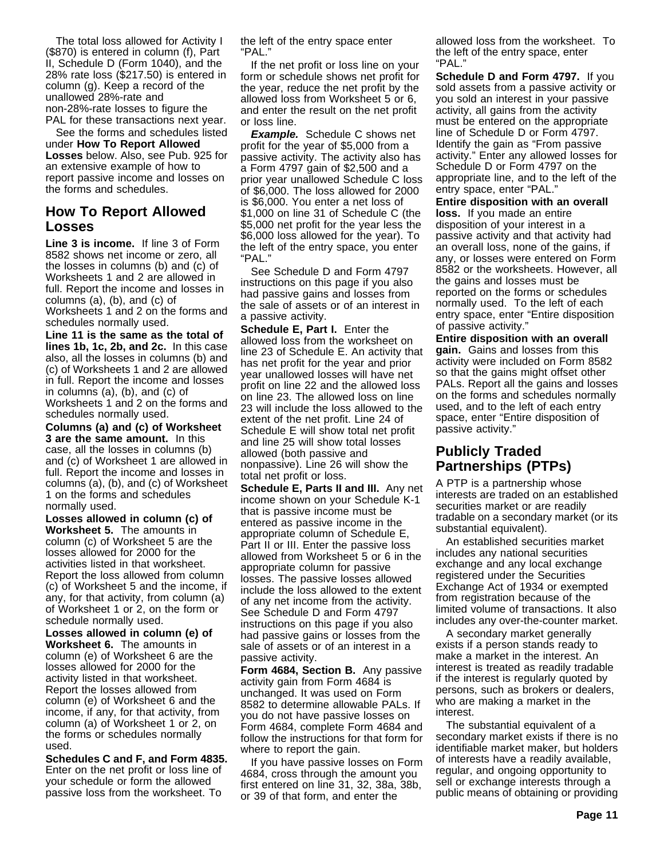The total loss allowed for Activity I (\$870) is entered in column (f), Part II, Schedule D (Form 1040), and the 28% rate loss (\$217.50) is entered in column (g). Keep a record of the unallowed 28%-rate and non-28%-rate losses to figure the PAL for these transactions next year.

See the forms and schedules listed under **How To Report Allowed Losses** below. Also, see Pub. 925 for an extensive example of how to report passive income and losses on the forms and schedules.

# **How To Report Allowed Losses**

**Line 3 is income.** If line 3 of Form 8582 shows net income or zero, all the losses in columns (b) and (c) of Worksheets 1 and 2 are allowed in full. Report the income and losses in columns (a), (b), and (c) of Worksheets 1 and 2 on the forms and

schedules normally used. **Line 11 is the same as the total of lines 1b, 1c, 2b, and 2c.** In this case also, all the losses in columns (b) and (c) of Worksheets 1 and 2 are allowed in full. Report the income and losses in columns (a), (b), and (c) of Worksheets 1 and 2 on the forms and schedules normally used.

**Columns (a) and (c) of Worksheet 3 are the same amount.** In this case, all the losses in columns (b) and (c) of Worksheet 1 are allowed in full. Report the income and losses in columns (a), (b), and (c) of Worksheet 1 on the forms and schedules normally used.

**Losses allowed in column (c) of Worksheet 5.** The amounts in column (c) of Worksheet 5 are the losses allowed for 2000 for the activities listed in that worksheet. Report the loss allowed from column (c) of Worksheet 5 and the income, if any, for that activity, from column (a) of Worksheet 1 or 2, on the form or schedule normally used.

**Losses allowed in column (e) of Worksheet 6.** The amounts in column (e) of Worksheet 6 are the losses allowed for 2000 for the activity listed in that worksheet. Report the losses allowed from column (e) of Worksheet 6 and the income, if any, for that activity, from column (a) of Worksheet 1 or 2, on the forms or schedules normally used.

**Schedules C and F, and Form 4835.** Enter on the net profit or loss line of your schedule or form the allowed passive loss from the worksheet. To

the left of the entry space enter "PAL."

If the net profit or loss line on your form or schedule shows net profit for the year, reduce the net profit by the allowed loss from Worksheet 5 or 6, and enter the result on the net profit or loss line.

**Example.** Schedule C shows net profit for the year of \$5,000 from a passive activity. The activity also has a Form 4797 gain of \$2,500 and a prior year unallowed Schedule C loss of \$6,000. The loss allowed for 2000 is \$6,000. You enter a net loss of \$1,000 on line 31 of Schedule C (the \$5,000 net profit for the year less the \$6,000 loss allowed for the year). To the left of the entry space, you enter "PAL."

See Schedule D and Form 4797 instructions on this page if you also had passive gains and losses from the sale of assets or of an interest in a passive activity.

**Schedule E, Part I.** Enter the allowed loss from the worksheet on line 23 of Schedule E. An activity that has net profit for the year and prior year unallowed losses will have net profit on line 22 and the allowed loss on line 23. The allowed loss on line 23 will include the loss allowed to the extent of the net profit. Line 24 of Schedule E will show total net profit and line 25 will show total losses allowed (both passive and nonpassive). Line 26 will show the total net profit or loss.

**Schedule E, Parts II and III.** Any net income shown on your Schedule K-1 that is passive income must be entered as passive income in the appropriate column of Schedule E, Part II or III. Enter the passive loss allowed from Worksheet 5 or 6 in the appropriate column for passive losses. The passive losses allowed include the loss allowed to the extent of any net income from the activity. See Schedule D and Form 4797 instructions on this page if you also had passive gains or losses from the sale of assets or of an interest in a passive activity.

**Form 4684, Section B.** Any passive activity gain from Form 4684 is unchanged. It was used on Form 8582 to determine allowable PALs. If you do not have passive losses on Form 4684, complete Form 4684 and follow the instructions for that form for where to report the gain.

If you have passive losses on Form 4684, cross through the amount you first entered on line 31, 32, 38a, 38b, or 39 of that form, and enter the

allowed loss from the worksheet. To the left of the entry space, enter "PAL."

**Schedule D and Form 4797.** If you sold assets from a passive activity or you sold an interest in your passive activity, all gains from the activity must be entered on the appropriate line of Schedule D or Form 4797. Identify the gain as "From passive activity." Enter any allowed losses for Schedule D or Form 4797 on the appropriate line, and to the left of the entry space, enter "PAL."

**Entire disposition with an overall loss.** If you made an entire disposition of your interest in a passive activity and that activity had an overall loss, none of the gains, if any, or losses were entered on Form 8582 or the worksheets. However, all the gains and losses must be reported on the forms or schedules normally used. To the left of each entry space, enter "Entire disposition of passive activity."

**Entire disposition with an overall gain.** Gains and losses from this activity were included on Form 8582 so that the gains might offset other PALs. Report all the gains and losses on the forms and schedules normally used, and to the left of each entry space, enter "Entire disposition of passive activity."

# **Publicly Traded Partnerships (PTPs)**

A PTP is a partnership whose interests are traded on an established securities market or are readily tradable on a secondary market (or its substantial equivalent).

An established securities market includes any national securities exchange and any local exchange registered under the Securities Exchange Act of 1934 or exempted from registration because of the limited volume of transactions. It also includes any over-the-counter market.

A secondary market generally exists if a person stands ready to make a market in the interest. An interest is treated as readily tradable if the interest is regularly quoted by persons, such as brokers or dealers, who are making a market in the interest.

The substantial equivalent of a secondary market exists if there is no identifiable market maker, but holders of interests have a readily available, regular, and ongoing opportunity to sell or exchange interests through a public means of obtaining or providing